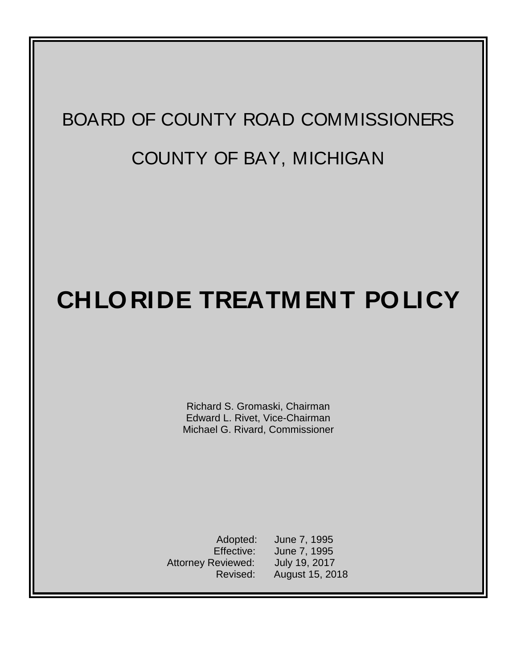# BOARD OF COUNTY ROAD COMMISSIONERS COUNTY OF BAY, MICHIGAN

## **CHLORIDE TREATM ENT POLICY**

Richard S. Gromaski, Chairman Edward L. Rivet, Vice-Chairman Michael G. Rivard, Commissioner

Adopted: June 7, 1995 Effective: June 7, 1995 Attorney Reviewed: July 19, 2017 Revised: August 15, 2018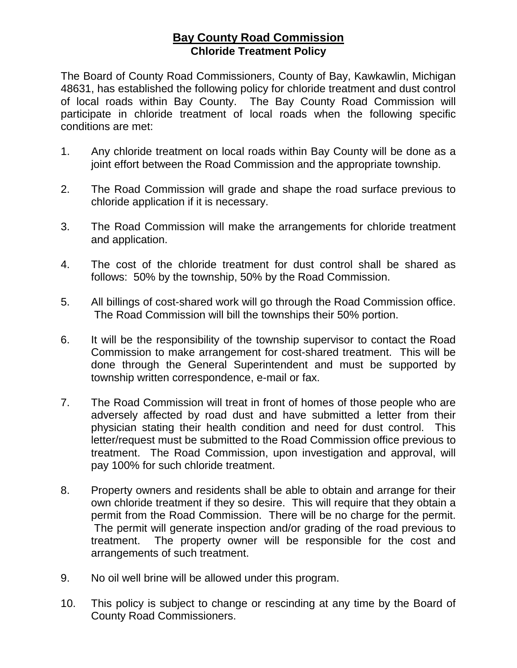#### **Bay County Road Commission Chloride Treatment Policy**

The Board of County Road Commissioners, County of Bay, Kawkawlin, Michigan 48631, has established the following policy for chloride treatment and dust control of local roads within Bay County. The Bay County Road Commission will participate in chloride treatment of local roads when the following specific conditions are met:

- 1. Any chloride treatment on local roads within Bay County will be done as a joint effort between the Road Commission and the appropriate township.
- 2. The Road Commission will grade and shape the road surface previous to chloride application if it is necessary.
- 3. The Road Commission will make the arrangements for chloride treatment and application.
- 4. The cost of the chloride treatment for dust control shall be shared as follows: 50% by the township, 50% by the Road Commission.
- 5. All billings of cost-shared work will go through the Road Commission office. The Road Commission will bill the townships their 50% portion.
- 6. It will be the responsibility of the township supervisor to contact the Road Commission to make arrangement for cost-shared treatment. This will be done through the General Superintendent and must be supported by township written correspondence, e-mail or fax.
- 7. The Road Commission will treat in front of homes of those people who are adversely affected by road dust and have submitted a letter from their physician stating their health condition and need for dust control. This letter/request must be submitted to the Road Commission office previous to treatment. The Road Commission, upon investigation and approval, will pay 100% for such chloride treatment.
- 8. Property owners and residents shall be able to obtain and arrange for their own chloride treatment if they so desire. This will require that they obtain a permit from the Road Commission. There will be no charge for the permit. The permit will generate inspection and/or grading of the road previous to treatment. The property owner will be responsible for the cost and arrangements of such treatment.
- 9. No oil well brine will be allowed under this program.
- 10. This policy is subject to change or rescinding at any time by the Board of County Road Commissioners.